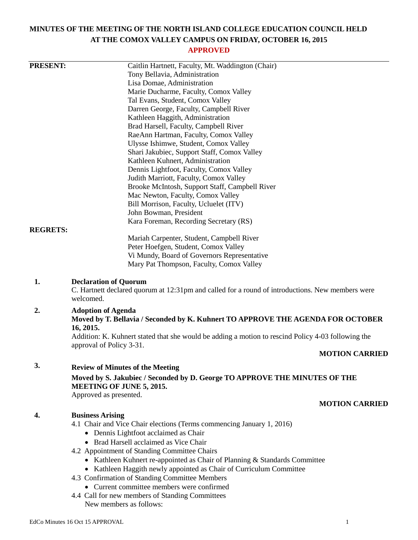# **MINUTES OF THE MEETING OF THE NORTH ISLAND COLLEGE EDUCATION COUNCIL HELD AT THE COMOX VALLEY CAMPUS ON FRIDAY, OCTOBER 16, 2015**

# **APPROVED**

| <b>PRESENT:</b> | Caitlin Hartnett, Faculty, Mt. Waddington (Chair)                                                                                             |
|-----------------|-----------------------------------------------------------------------------------------------------------------------------------------------|
|                 | Tony Bellavia, Administration                                                                                                                 |
|                 | Lisa Domae, Administration                                                                                                                    |
|                 | Marie Ducharme, Faculty, Comox Valley                                                                                                         |
|                 | Tal Evans, Student, Comox Valley                                                                                                              |
|                 | Darren George, Faculty, Campbell River                                                                                                        |
|                 | Kathleen Haggith, Administration                                                                                                              |
|                 | Brad Harsell, Faculty, Campbell River                                                                                                         |
|                 | RaeAnn Hartman, Faculty, Comox Valley                                                                                                         |
|                 | Ulysse Ishimwe, Student, Comox Valley                                                                                                         |
|                 | Shari Jakubiec, Support Staff, Comox Valley                                                                                                   |
|                 | Kathleen Kuhnert, Administration                                                                                                              |
|                 | Dennis Lightfoot, Faculty, Comox Valley                                                                                                       |
|                 | Judith Marriott, Faculty, Comox Valley                                                                                                        |
|                 | Brooke McIntosh, Support Staff, Campbell River                                                                                                |
|                 | Mac Newton, Faculty, Comox Valley                                                                                                             |
|                 | Bill Morrison, Faculty, Ucluelet (ITV)                                                                                                        |
|                 | John Bowman, President                                                                                                                        |
|                 | Kara Foreman, Recording Secretary (RS)                                                                                                        |
| <b>REGRETS:</b> | Mariah Carpenter, Student, Campbell River                                                                                                     |
|                 | Peter Hoefgen, Student, Comox Valley                                                                                                          |
|                 | Vi Mundy, Board of Governors Representative                                                                                                   |
|                 | Mary Pat Thompson, Faculty, Comox Valley                                                                                                      |
|                 |                                                                                                                                               |
| 1.              | <b>Declaration of Quorum</b><br>C. Hartnett declared quorum at 12:31pm and called for a round of introductions. New members were<br>welcomed. |
| 2.              | <b>Adoption of Agenda</b>                                                                                                                     |
|                 | Moved by T. Bellavia / Seconded by K. Kuhnert TO APPROVE THE AGENDA FOR OCTOBER                                                               |
|                 | 16, 2015.                                                                                                                                     |
|                 | Addition: K. Kuhnert stated that she would be adding a motion to rescind Policy 4-03 following the                                            |
|                 | approval of Policy 3-31.                                                                                                                      |
|                 | <b>MOTION CARRIED</b>                                                                                                                         |
|                 |                                                                                                                                               |
| 3.              | <b>Review of Minutes of the Meeting</b>                                                                                                       |
|                 | Moved by S. Jakubiec / Seconded by D. George TO APPROVE THE MINUTES OF THE<br>MEETING OF JUNE 5, 2015.                                        |
|                 | Approved as presented.                                                                                                                        |
|                 | <b>MOTION CARRIED</b>                                                                                                                         |
| 4.              | <b>Business Arising</b>                                                                                                                       |
|                 | 4.1 Chair and Vice Chair elections (Terms commencing January 1, 2016)                                                                         |
|                 | • Dennis Lightfoot acclaimed as Chair                                                                                                         |
|                 | • Brad Harsell acclaimed as Vice Chair                                                                                                        |
|                 | 4.2 Appointment of Standing Committee Chairs                                                                                                  |
|                 | • Kathleen Kuhnert re-appointed as Chair of Planning & Standards Committee                                                                    |
|                 | • Kathleen Haggith newly appointed as Chair of Curriculum Committee                                                                           |
|                 | 4.3 Confirmation of Standing Committee Members                                                                                                |
|                 | • Current committee members were confirmed                                                                                                    |
|                 | 4.4 Call for new members of Standing Committees                                                                                               |
|                 | New members as follows:                                                                                                                       |
|                 |                                                                                                                                               |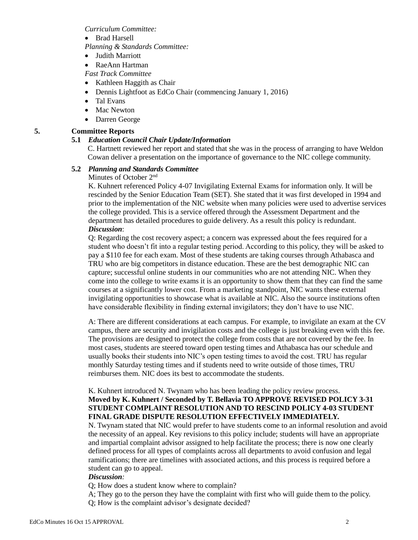*Curriculum Committee:*

• Brad Harsell

*Planning & Standards Committee:*

- Judith Marriott
- RaeAnn Hartman

*Fast Track Committee*

- Kathleen Haggith as Chair
- Dennis Lightfoot as EdCo Chair (commencing January 1, 2016)
- Tal Evans
- Mac Newton
- Darren George

# **5. Committee Reports**

# **5.1** *Education Council Chair Update/Information*

C. Hartnett reviewed her report and stated that she was in the process of arranging to have Weldon Cowan deliver a presentation on the importance of governance to the NIC college community.

### **5.2** *Planning and Standards Committee*

Minutes of October 2<sup>nd</sup>

K. Kuhnert referenced Policy 4-07 Invigilating External Exams for information only. It will be rescinded by the Senior Education Team (SET). She stated that it was first developed in 1994 and prior to the implementation of the NIC website when many policies were used to advertise services the college provided. This is a service offered through the Assessment Department and the department has detailed procedures to guide delivery. As a result this policy is redundant. *Discussion*:

Q: Regarding the cost recovery aspect; a concern was expressed about the fees required for a student who doesn't fit into a regular testing period. According to this policy, they will be asked to pay a \$110 fee for each exam. Most of these students are taking courses through Athabasca and TRU who are big competitors in distance education. These are the best demographic NIC can capture; successful online students in our communities who are not attending NIC. When they come into the college to write exams it is an opportunity to show them that they can find the same courses at a significantly lower cost. From a marketing standpoint, NIC wants these external invigilating opportunities to showcase what is available at NIC. Also the source institutions often have considerable flexibility in finding external invigilators; they don't have to use NIC.

A: There are different considerations at each campus. For example, to invigilate an exam at the CV campus, there are security and invigilation costs and the college is just breaking even with this fee. The provisions are designed to protect the college from costs that are not covered by the fee. In most cases, students are steered toward open testing times and Athabasca has our schedule and usually books their students into NIC's open testing times to avoid the cost. TRU has regular monthly Saturday testing times and if students need to write outside of those times, TRU reimburses them. NIC does its best to accommodate the students.

# K. Kuhnert introduced N. Twynam who has been leading the policy review process. **Moved by K. Kuhnert / Seconded by T. Bellavia TO APPROVE REVISED POLICY 3-31 STUDENT COMPLAINT RESOLUTION AND TO RESCIND POLICY 4-03 STUDENT FINAL GRADE DISPUTE RESOLUTION EFFECTIVELY IMMEDIATELY.**

N. Twynam stated that NIC would prefer to have students come to an informal resolution and avoid the necessity of an appeal. Key revisions to this policy include; students will have an appropriate and impartial complaint advisor assigned to help facilitate the process; there is now one clearly defined process for all types of complaints across all departments to avoid confusion and legal ramifications; there are timelines with associated actions, and this process is required before a student can go to appeal.

### *Discussion:*

Q; How does a student know where to complain?

A; They go to the person they have the complaint with first who will guide them to the policy. Q; How is the complaint advisor's designate decided?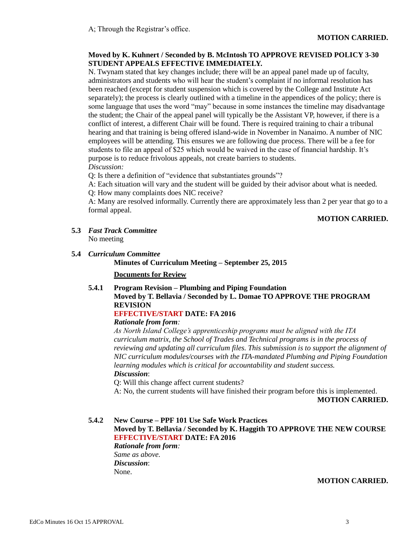### **Moved by K. Kuhnert / Seconded by B. McIntosh TO APPROVE REVISED POLICY 3-30 STUDENT APPEALS EFFECTIVE IMMEDIATELY.**

N. Twynam stated that key changes include; there will be an appeal panel made up of faculty, administrators and students who will hear the student's complaint if no informal resolution has been reached (except for student suspension which is covered by the College and Institute Act separately); the process is clearly outlined with a timeline in the appendices of the policy; there is some language that uses the word "may" because in some instances the timeline may disadvantage the student; the Chair of the appeal panel will typically be the Assistant VP, however, if there is a conflict of interest, a different Chair will be found. There is required training to chair a tribunal hearing and that training is being offered island-wide in November in Nanaimo. A number of NIC employees will be attending. This ensures we are following due process. There will be a fee for students to file an appeal of \$25 which would be waived in the case of financial hardship. It's purpose is to reduce frivolous appeals, not create barriers to students. *Discussion:*

Q: Is there a definition of "evidence that substantiates grounds"?

- A: Each situation will vary and the student will be guided by their advisor about what is needed.
- Q: How many complaints does NIC receive?

A: Many are resolved informally. Currently there are approximately less than 2 per year that go to a formal appeal.

### **MOTION CARRIED.**

- **5.3** *Fast Track Committee* No meeting
- **5.4** *Curriculum Committee*

**Minutes of Curriculum Meeting – September 25, 2015**

#### **Documents for Review**

**5.4.1 Program Revision – Plumbing and Piping Foundation Moved by T. Bellavia / Seconded by L. Domae TO APPROVE THE PROGRAM REVISION**

# **EFFECTIVE/START DATE: FA 2016**

# *Rationale from form:*

*As North Island College's apprenticeship programs must be aligned with the ITA curriculum matrix, the School of Trades and Technical programs is in the process of reviewing and updating all curriculum files. This submission is to support the alignment of NIC curriculum modules/courses with the ITA-mandated Plumbing and Piping Foundation learning modules which is critical for accountability and student success. Discussion*:

Q: Will this change affect current students?

A: No, the current students will have finished their program before this is implemented.

**MOTION CARRIED.**

**5.4.2 New Course – PPF 101 Use Safe Work Practices**

**Moved by T. Bellavia / Seconded by K. Haggith TO APPROVE THE NEW COURSE EFFECTIVE/START DATE: FA 2016**

*Rationale from form: Same as above. Discussion*: None.

#### **MOTION CARRIED.**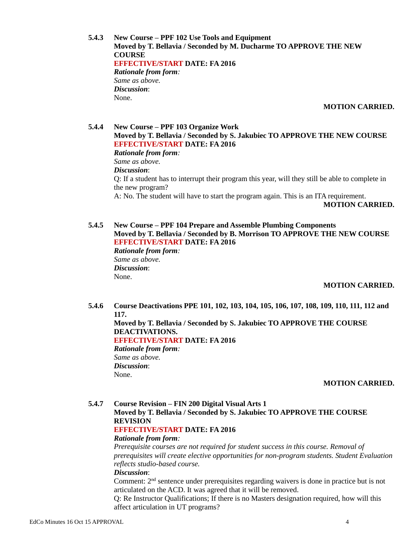**5.4.3 New Course – PPF 102 Use Tools and Equipment Moved by T. Bellavia / Seconded by M. Ducharme TO APPROVE THE NEW COURSE EFFECTIVE/START DATE: FA 2016** *Rationale from form: Same as above. Discussion*: None.

**MOTION CARRIED.**

# **5.4.4 New Course – PPF 103 Organize Work Moved by T. Bellavia / Seconded by S. Jakubiec TO APPROVE THE NEW COURSE EFFECTIVE/START DATE: FA 2016** *Rationale from form: Same as above. Discussion*: Q: If a student has to interrupt their program this year, will they still be able to complete in the new program? A: No. The student will have to start the program again. This is an ITA requirement. **MOTION CARRIED.**

**5.4.5 New Course – PPF 104 Prepare and Assemble Plumbing Components Moved by T. Bellavia / Seconded by B. Morrison TO APPROVE THE NEW COURSE EFFECTIVE/START DATE: FA 2016** *Rationale from form: Same as above. Discussion*: None.

### **MOTION CARRIED.**

**5.4.6 Course Deactivations PPE 101, 102, 103, 104, 105, 106, 107, 108, 109, 110, 111, 112 and 117.**

**Moved by T. Bellavia / Seconded by S. Jakubiec TO APPROVE THE COURSE DEACTIVATIONS. EFFECTIVE/START DATE: FA 2016** *Rationale from form:*

*Same as above. Discussion*: None.

#### **MOTION CARRIED.**

**5.4.7 Course Revision – FIN 200 Digital Visual Arts 1 Moved by T. Bellavia / Seconded by S. Jakubiec TO APPROVE THE COURSE REVISION**

#### **EFFECTIVE/START DATE: FA 2016**

#### *Rationale from form:*

*Prerequisite courses are not required for student success in this course. Removal of prerequisites will create elective opportunities for non-program students. Student Evaluation reflects studio-based course.*

#### *Discussion*:

Comment:  $2<sup>nd</sup>$  sentence under prerequisites regarding waivers is done in practice but is not articulated on the ACD. It was agreed that it will be removed.

Q: Re Instructor Qualifications; If there is no Masters designation required, how will this affect articulation in UT programs?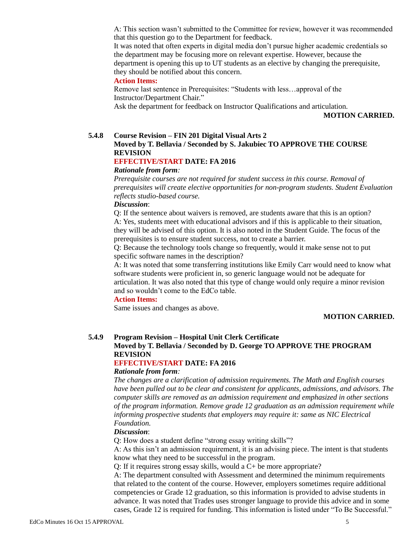A: This section wasn't submitted to the Committee for review, however it was recommended that this question go to the Department for feedback.

It was noted that often experts in digital media don't pursue higher academic credentials so the department may be focusing more on relevant expertise. However, because the department is opening this up to UT students as an elective by changing the prerequisite, they should be notified about this concern.

#### **Action Items:**

Remove last sentence in Prerequisites: "Students with less…approval of the Instructor/Department Chair."

Ask the department for feedback on Instructor Qualifications and articulation.

**MOTION CARRIED.**

#### **5.4.8 Course Revision – FIN 201 Digital Visual Arts 2**

# **Moved by T. Bellavia / Seconded by S. Jakubiec TO APPROVE THE COURSE REVISION**

# **EFFECTIVE/START DATE: FA 2016**

#### *Rationale from form:*

*Prerequisite courses are not required for student success in this course. Removal of prerequisites will create elective opportunities for non-program students. Student Evaluation reflects studio-based course.*

#### *Discussion*:

Q: If the sentence about waivers is removed, are students aware that this is an option? A: Yes, students meet with educational advisors and if this is applicable to their situation, they will be advised of this option. It is also noted in the Student Guide. The focus of the prerequisites is to ensure student success, not to create a barrier.

Q: Because the technology tools change so frequently, would it make sense not to put specific software names in the description?

A: It was noted that some transferring institutions like Emily Carr would need to know what software students were proficient in, so generic language would not be adequate for articulation. It was also noted that this type of change would only require a minor revision and so wouldn't come to the EdCo table.

#### **Action Items:**

Same issues and changes as above.

#### **MOTION CARRIED.**

### **5.4.9 Program Revision – Hospital Unit Clerk Certificate**

### **Moved by T. Bellavia / Seconded by D. George TO APPROVE THE PROGRAM REVISION**

### **EFFECTIVE/START DATE: FA 2016**

#### *Rationale from form:*

*The changes are a clarification of admission requirements. The Math and English courses have been pulled out to be clear and consistent for applicants, admissions, and advisors. The computer skills are removed as an admission requirement and emphasized in other sections of the program information. Remove grade 12 graduation as an admission requirement while informing prospective students that employers may require it: same as NIC Electrical Foundation.*

#### *Discussion*:

Q: How does a student define "strong essay writing skills"?

A: As this isn't an admission requirement, it is an advising piece. The intent is that students know what they need to be successful in the program.

Q: If it requires strong essay skills, would a C+ be more appropriate?

A: The department consulted with Assessment and determined the minimum requirements that related to the content of the course. However, employers sometimes require additional competencies or Grade 12 graduation, so this information is provided to advise students in advance. It was noted that Trades uses stronger language to provide this advice and in some cases, Grade 12 is required for funding. This information is listed under "To Be Successful."